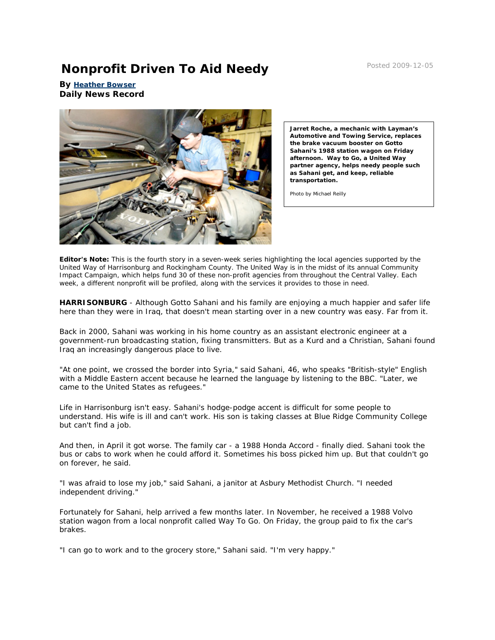## **Nonprofit Driven To Aid Needy** Posted 2009-12-05

**By [Heather Bowser](http://www.dnronline.com/articles_writers.php?uid=84&fp=news_details&aid=42879&chid=1) Daily News Record**



**Jarret Roche, a mechanic with Layman's Automotive and Towing Service, replaces the brake vacuum booster on Gotto Sahani's 1988 station wagon on Friday afternoon. Way to Go, a United Way partner agency, helps needy people such as Sahani get, and keep, reliable transportation.**

Photo by Michael Reilly

**Editor's Note:** This is the fourth story in a seven-week series highlighting the local agencies supported by the United Way of Harrisonburg and Rockingham County. The United Way is in the midst of its annual Community Impact Campaign, which helps fund 30 of these non-profit agencies from throughout the Central Valley. Each week, a different nonprofit will be profiled, along with the services it provides to those in need.

**HARRISONBURG** - Although Gotto Sahani and his family are enjoying a much happier and safer life here than they were in Iraq, that doesn't mean starting over in a new country was easy. Far from it.

Back in 2000, Sahani was working in his home country as an assistant electronic engineer at a government-run broadcasting station, fixing transmitters. But as a Kurd and a Christian, Sahani found Iraq an increasingly dangerous place to live.

"At one point, we crossed the border into Syria," said Sahani, 46, who speaks "British-style" English with a Middle Eastern accent because he learned the language by listening to the BBC. "Later, we came to the United States as refugees."

Life in Harrisonburg isn't easy. Sahani's hodge-podge accent is difficult for some people to understand. His wife is ill and can't work. His son is taking classes at Blue Ridge Community College but can't find a job.

And then, in April it got worse. The family car - a 1988 Honda Accord - finally died. Sahani took the bus or cabs to work when he could afford it. Sometimes his boss picked him up. But that couldn't go on forever, he said.

"I was afraid to lose my job," said Sahani, a janitor at Asbury Methodist Church. "I needed independent driving."

Fortunately for Sahani, help arrived a few months later. In November, he received a 1988 Volvo station wagon from a local nonprofit called Way To Go. On Friday, the group paid to fix the car's brakes.

"I can go to work and to the grocery store," Sahani said. "I'm very happy."